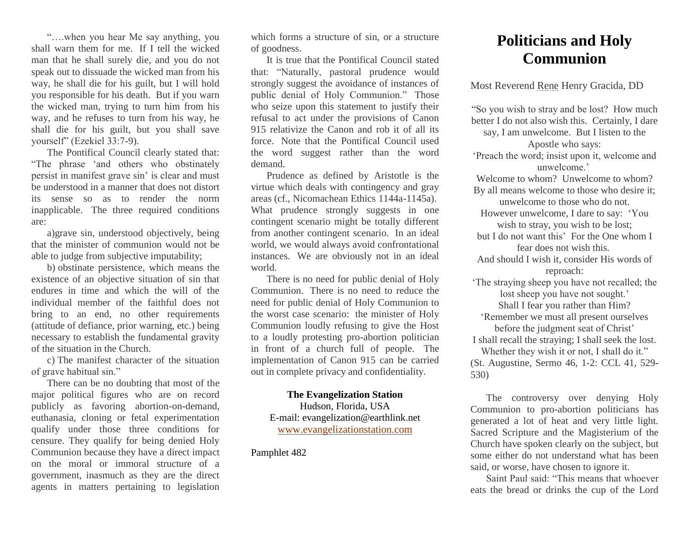"….when you hear Me say anything, you shall warn them for me. If I tell the wicked man that he shall surely die, and you do not speak out to dissuade the wicked man from his way, he shall die for his guilt, but I will hold you responsible for his death. But if you warn the wicked man, trying to turn him from his way, and he refuses to turn from his way, he shall die for his guilt, but you shall save yourself" (Ezekiel 33:7-9).

The Pontifical Council clearly stated that: "The phrase 'and others who obstinately persist in manifest grave sin' is clear and must be understood in a manner that does not distort its sense so as to render the norm inapplicable. The three required conditions are:

a)grave sin, understood objectively, being that the minister of communion would not be able to judge from subjective imputability;

b) obstinate persistence, which means the existence of an objective situation of sin that endures in time and which the will of the individual member of the faithful does not bring to an end, no other requirements (attitude of defiance, prior warning, etc.) being necessary to establish the fundamental gravity of the situation in the Church.

c) The manifest character of the situation of grave habitual sin."

There can be no doubting that most of the major political figures who are on record publicly as favoring abortion-on-demand, euthanasia, cloning or fetal experimentation qualify under those three conditions for censure. They qualify for being denied Holy Communion because they have a direct impact on the moral or immoral structure of a government, inasmuch as they are the direct agents in matters pertaining to legislation

which forms a structure of sin, or a structure of goodness.

It is true that the Pontifical Council stated that: "Naturally, pastoral prudence would strongly suggest the avoidance of instances of public denial of Holy Communion." Those who seize upon this statement to justify their refusal to act under the provisions of Canon 915 relativize the Canon and rob it of all its force. Note that the Pontifical Council used the word suggest rather than the word demand.

Prudence as defined by Aristotle is the virtue which deals with contingency and gray areas (cf., Nicomachean Ethics 1144a-1145a). What prudence strongly suggests in one contingent scenario might be totally different from another contingent scenario. In an ideal world, we would always avoid confrontational instances. We are obviously not in an ideal world.

There is no need for public denial of Holy Communion. There is no need to reduce the need for public denial of Holy Communion to the worst case scenario: the minister of Holy Communion loudly refusing to give the Host to a loudly protesting pro-abortion politician in front of a church full of people. The implementation of Canon 915 can be carried out in complete privacy and confidentiality.

## **The Evangelization Station** Hudson, Florida, USA E-mail: evangelization@earthlink.net [www.evangelizationstation.com](http://www.pjpiisoe.org/)

Pamphlet 482

## **Politicians and Holy Communion**

Most Reverend Rene Henry Gracida, DD

"So you wish to stray and be lost? How much better I do not also wish this. Certainly, I dare say, I am unwelcome. But I listen to the Apostle who says: 'Preach the word; insist upon it, welcome and unwelcome.' Welcome to whom? Unwelcome to whom? By all means welcome to those who desire it; unwelcome to those who do not. However unwelcome, I dare to say: 'You wish to stray, you wish to be lost; but I do not want this' For the One whom I fear does not wish this. And should I wish it, consider His words of reproach: 'The straying sheep you have not recalled; the lost sheep you have not sought.' Shall I fear you rather than Him? 'Remember we must all present ourselves before the judgment seat of Christ' I shall recall the straying; I shall seek the lost. Whether they wish it or not, I shall do it." (St. Augustine, Sermo 46, 1-2: CCL 41, 529- 530)

The controversy over denying Holy Communion to pro-abortion politicians has generated a lot of heat and very little light. Sacred Scripture and the Magisterium of the Church have spoken clearly on the subject, but some either do not understand what has been said, or worse, have chosen to ignore it.

Saint Paul said: "This means that whoever eats the bread or drinks the cup of the Lord